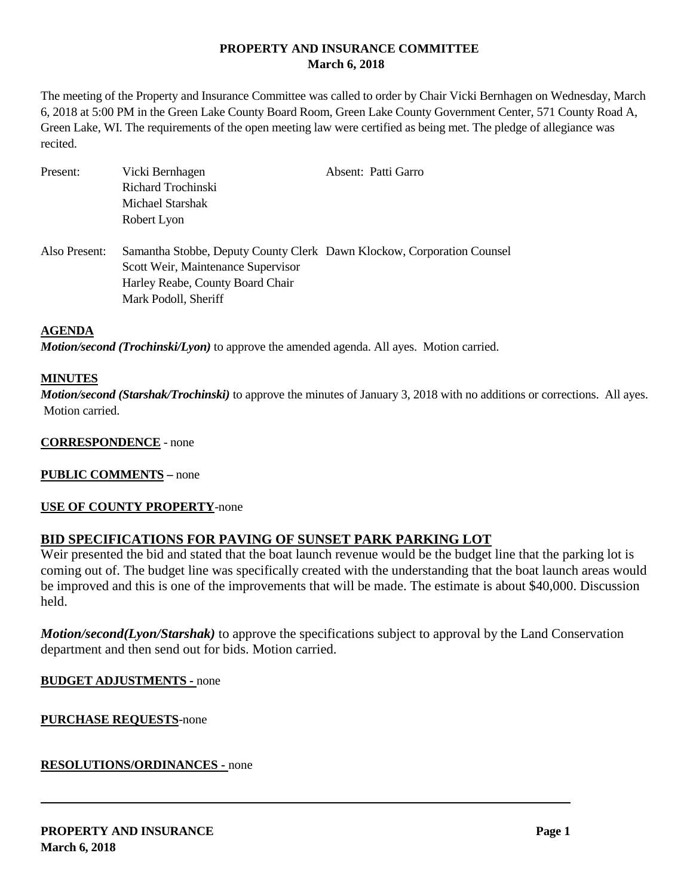# **PROPERTY AND INSURANCE COMMITTEE March 6, 2018**

The meeting of the Property and Insurance Committee was called to order by Chair Vicki Bernhagen on Wednesday, March 6, 2018 at 5:00 PM in the Green Lake County Board Room, Green Lake County Government Center, 571 County Road A, Green Lake, WI. The requirements of the open meeting law were certified as being met. The pledge of allegiance was recited.

| Present:      | Vicki Bernhagen<br>Richard Trochinski<br>Michael Starshak<br>Robert Lyon                                                                                                 | Absent: Patti Garro |
|---------------|--------------------------------------------------------------------------------------------------------------------------------------------------------------------------|---------------------|
| Also Present: | Samantha Stobbe, Deputy County Clerk Dawn Klockow, Corporation Counsel<br>Scott Weir, Maintenance Supervisor<br>Harley Reabe, County Board Chair<br>Mark Podoll, Sheriff |                     |

#### **AGENDA**

*Motion/second (Trochinski/Lyon)* to approve the amended agenda. All ayes. Motion carried.

#### **MINUTES**

*Motion/second (Starshak/Trochinski)* to approve the minutes of January 3, 2018 with no additions or corrections. All ayes. Motion carried.

#### **CORRESPONDENCE** - none

#### **PUBLIC COMMENTS –** none

#### **USE OF COUNTY PROPERTY**-none

# **BID SPECIFICATIONS FOR PAVING OF SUNSET PARK PARKING LOT**

Weir presented the bid and stated that the boat launch revenue would be the budget line that the parking lot is coming out of. The budget line was specifically created with the understanding that the boat launch areas would be improved and this is one of the improvements that will be made. The estimate is about \$40,000. Discussion held.

*Motion/second(Lyon/Starshak)* to approve the specifications subject to approval by the Land Conservation department and then send out for bids. Motion carried.

#### **BUDGET ADJUSTMENTS -** none

**PURCHASE REQUESTS**-none

**RESOLUTIONS/ORDINANCES -** none